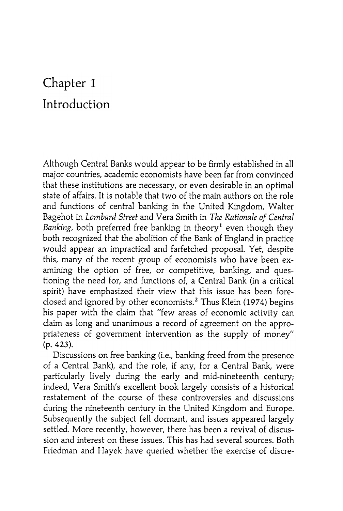## Chapter 1 Introduction

Although Central Banks would appear to be firmly established in all major countries, academic economists have been far from convinced that these institutions are necessary, or even desirable in an optimal state of affairs. It is notable that two of the main authors on the role and functions of central banking in the United Kingdom, Walter Bagehot in Lombard Street and Vera Smith in The Rationale of Central Banking, both preferred free banking in theory<sup>1</sup> even though they both recognized that the abolition of the Bank of England in practice would appear an impractical and farfetched proposal. Yet, despite this, many of the recent group of economists who have been examining the option of free, or competitive, banking, and questioning the need for, and functions of, a Central Bank (in a critical spirit) have emphasized their view that this issue has been foreclosed and ignored by other economists.<sup>2</sup> Thus Klein (1974) begins his paper with the claim that "few areas of economic activity can claim as long and unanimous a record of agreement on the appropriateness of government intervention as the supply of money" (p. 423).

Discussions on free banking (i.e., banking freed from the presence of a Central Bank), and the role, if any, for a Central Bank, were particularly lively during the early and mid-nineteenth century; indeed, Vera Smith's excellent book largely consists of a historical restatement of the course of these controversies and discussions during the nineteenth century in the United Kingdom and Europe. Subsequently the subject fell dormant, and issues appeared largely settled. More recently, however, there has been a revival of discussion and interest on these issues. This has had several sources. Both Friedman and Hayek have queried whether the exercise of discre-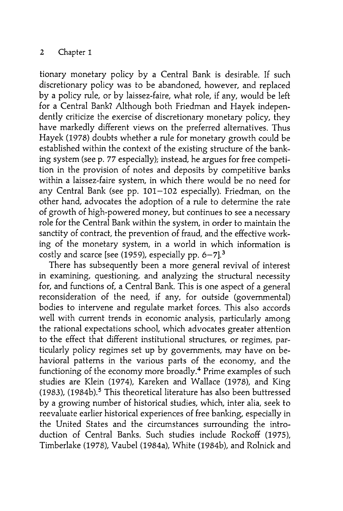## 2 Chapter 1

tionary monetary policy by a Central Bank is desirable. If such discretionary policy was to be abandoned, however, and replaced by a policy rule, or by laissez-faire, what role, if any, would be left for a Central Bank? Although both Friedman and Hayek independently criticize the exercise of discretionary monetary policy, they have markedly different views on the preferred alternatives. Thus Hayek (1978) doubts whether a rule for monetary growth could be established within the context of the existing structure of the banking system (see p. 77 especially); instead, he argues for free competition in the provision of notes and deposits by competitive banks within a laissez-faire system, in which there would be no need for any Central Bank (see pp. 101- 102 especially). Friedman, on the other hand, advocates the adoption of a rule to determine the rate of growth of high-powered money, but continues to see a necessary role for the Central Bank within the system, in order to maintain the sanctity of contract, the prevention of fraud, and the effective working of the monetary system, in a world in which information is costly and scarce [see (1959), especially pp.  $6-7$ ].<sup>3</sup>

There has subsequently been a more general revival of interest in examining, questioning, and analyzing the structural necessity for, and functions of, a Central Bank. This is one aspect of a general reconsideration of the need, if any, for outside (governmental) bodies to intervene and regulate market forces. This also accords well with current trends in economic analysis, particularly among the rational expectations school, which advocates greater attention to the effect that different institutional structures, or regimes, particularly policy regimes set up by governments, may have on behavioral patterns in the various parts of the economy, and the functioning of the economy more broadly.<sup>4</sup> Prime examples of such studies are Klein (1974), Kareken and Wallace (1978), and King (1983), (1984b).<sup>5</sup> This theoretical literature has also been buttressed by a growing number of historical studies, which , inter alia, seek to reevaluate earlier historical experiences of free banking, especially in the United States and the circumstances surrounding the introduction of Central Banks. Such studies include Rockoff (1975), Timberlake (1978), Vaubel (1984a), White (1984b), and Rolnick and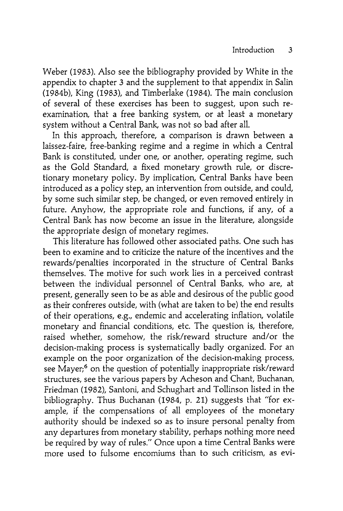Weber (1983). Also see the bibliography provided by White in the appendix to chapter 3 and the supplement to that appendix in Salin (1984b), King (1983), and Timberlake (1984). The main conclusion of several of these exercises has been to suggest, upon such reexamination, that a free banking system, or at least a monetary system without a Central Bank, was not so bad after all.

In this approach, therefore, a comparison is drawn between a laissez-faire, free-banking regime and a regime in which a Central Bank is constituted, under one, or another, operating regime, such as the Gold Standard, a fixed monetary growth rule, or discretionary monetary policy. By implication, Central Banks have been introduced as a policy step, an intervention from outside, and could, by some such similar step, be changed, or even removed entirely in future. Anyhow, the appropriate role and functions, if any, of a Central Bank has now become an issue in the literature, alongside the appropriate design of monetary regimes.

This literature has followed other associated paths. One such has been to examine and to criticize the nature of the incentives and the rewards/ penalties incorporated in the structure of Central Banks themselves. The motive for such work lies in a perceived contrast between the individual personnel of Central Banks, who are, at present, generally seen to be as able and desirous of the public good as their confreres outside, with (what are taken to be) the end results of their operations, e.g., endemic and accelerating inflation, volatile monetary and financial conditions, etc. The question is, therefore, raised whether, somehow, the risk/reward structure and/or the decision-making process is systematically badly organized. For an example on the poor organization of the decision-making process, see Mayer;<sup>6</sup> on the question of potentially inappropriate risk/reward structures, see the various papers by Acheson and Chant, Buchanan, Friedman (1982), Santoni, and Schughart and Tollinson listed in the bibliography. Thus Buchanan (1984, p. 21) suggests that "for example, if the compensations of all employees of the monetary authority should be indexed so as to insure personal penalty from any departures from monetary stability, perhaps nothing more need be required by way of rules." Once upon a time Central Banks were more used to fulsome encomiums than to such criticism, as evi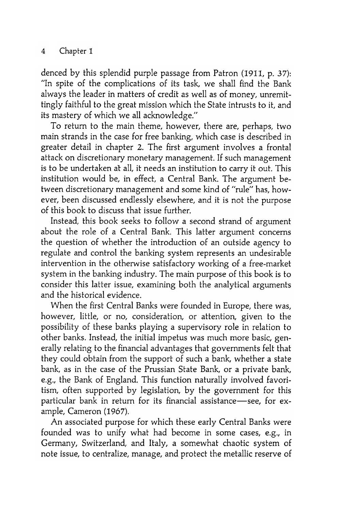denced by this splendid purple passage from Patron (1911, p. 37):<br>"In spite of the complications of its task, we shall find the Bank  $\mathbf{I}$  is the complications of the complications of the Bank , we shall find the Bank , we shall find the Bank , we shall find the Bank , we shall find the Bank , we shall find the Bank , we shall find the Bank , we sha always the leader in matter in matters of well as well as well as  $\mathcal{L}_{\mathcal{A}}$  , unremittingly, unremitting tingly faithful to the great mission which the State intrusts to it, and its mastery of which we all acknowledge . "

To return to the main theme , however , then  $\mathcal{P}_t$  , perhaps , then  $\mathcal{P}_t$  , are , perhaps , two states , two states , two states , two states , two states , two states , two states , two states , two states , two main strands in the case for free banking, which case is described in greater detail in chapter 2. The first argument involves a frontal greater detail in chapter 2 . The first argument involves a frontal attack on discretionary monetary management . If such management is to be undertaken at all, it needs an institution to carry it out. This<br>institution would be, in effect, a Central Bank. The argument beinstitution would be , in effect , a  $C_{\rm eff}$  , and  $C_{\rm eff}$  argument between  $\sigma$  $\ldots$  matrix  $\ldots$  management and some kind of  $\ldots$  rule  $\ldots$ ever, been discussed endlessly elsewhere, and it is not the purpose of this book to discuss that issue further.

Instead , this book seeks to follow a second strand of argument about the role of a Central Bank . This latter argument concerns  $\sigma$ the question of whether the introduction of an outside agency to an outside agency to an outside agency to an o regulate and control the banking system represents an undesirable intervention in the otherwise satisfactory working of a free - market  $\alpha$ system in the banking industry  $\mathbf{r}$  is to the main purpose of this book is to the main purpose of this book is to the main purpose of the main purpose of the main purpose of the main purpose of the main purpose of the consider this latter issue , examining both the analytical arguments and the historical evidence.

When the first Central Banks were founded in Europe, there was, however, little, or no, consideration, or attention, given to the possibility of these banks playing a supervisory role in relation to other banks. Instead, the initial impetus was much more basic, genother banks . Instead , the initial impetus was much more basic , generally  $\mathcal{S}$ relating to the financial advantages that governments felt that they could obtain from the support of such a bank, whether a state<br>bank, as in the case of the Prussian State Bank, or a private bank, bank , as in the case of the Prussian State Bank , or a private bank ,  $\cdot$  , the Bank of England . This function naturally involved favorities  $\cdot$ tism, often supported by legislation, by the government for this particular bank in return for its financial assistance-see, for example, Cameron (1967).

An associated purpose for which these early Central Banks were founded was to unify what had become in some cases, e.g., in Germany, Switzerland, and Italy, a somewhat chaotic system of note issue, to centralize, manage, and protect the metallic reserve of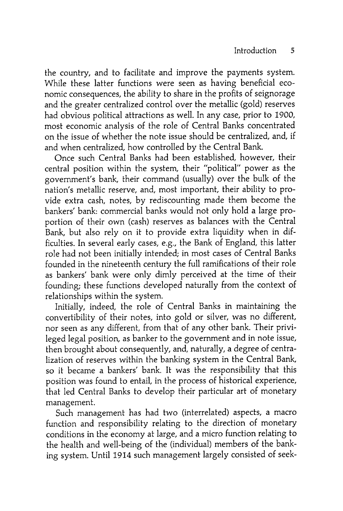the country, and to facilitate and improve the payments system. While these latter functions were seen as having beneficial economic consequences, the ability to share in the profits of seignorage and the greater centralized control over the metallic (gold) reserves had obvious political attractions as well. In any case, prior to 1900, most economic analysis of the role of Central Banks concentrated on the issue of whether the note issue should be centralized, and, if and when centralized, how controlled by the Central Bank.

Once such Central Banks had been established, however, their central position within the system, their "political" power as the government's bank, their command (usually) over the bulk of the nation's metallic reserve, and, most important, their ability to provide extra cash, notes, by rediscounting made them become the bankers' bank: commercial banks would not only hold a large proportion of their own (cash) reserves as balances with the Central Bank, but also rely on it to provide extra liquidity when in difficulties. In several early cases, e.g., the Bank of England, this latter role had not been initially intended; in most cases of Central Banks founded in the nineteenth century the full ramifications of their role as bankers' bank were only dimly perceived at the time of their founding: these functions developed naturally from the context of relationships within the system.

Initially, indeed, the role of Central Banks in maintaining the convertibility of their notes, into gold or silver, was no different, nor seen as any different, from that of any other bank. Their privileged legal position, as banker to the government and in note issue, then brought about consequently, and, naturally, a degree of centralization of reserves within the banking system in the Central Bank, so it became a bankers' bank. It was the responsibility that this position was found to entail, in the process of historical experience, that led Central Banks to develop their particular art of monetary management.

Such management has had two (interrelated) aspects, a macro function and responsibility relating to the direction of monetary conditions in the economy at large, and a micro function relating to the health and well-being of the (individual) members of the banking system. Until 1914 such management largely consisted of seek-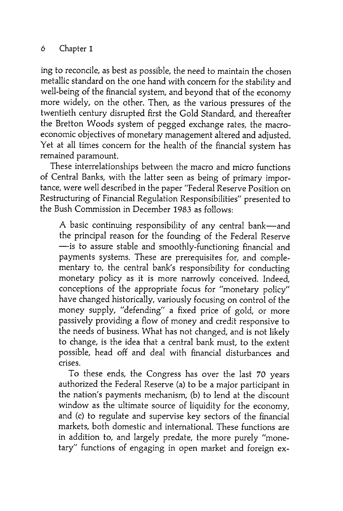ing to reconcile, as best as possible, the need to maintain the chosen metallic standard on the one hand with concern for the stability and well-being of the financial system, and beyond that of the economy more widely, on the other. Then, as the various pressures of the twentieth century disrupted first the Gold Standard, and thereafter the Bretton Woods system of pegged exchange rates, the macroeconomic objectives of monetary management altered and adjusted. Yet at all times concern for the health of the financial system has remained paramount.

These interrelationships between the macro and micro functions of Central Banks, with the latter seen as being of primary importance, were well described in the paper "Federal Reserve Position on Restructuring of Financial Regulation Responsibilities" presented to the Bush Commission in December 1983 as follows:

A basic continuing responsibility of any central bank-and the principal reason for the founding of the Federal Reserve - is to assure stable and smoothly-functioning financial and payments systems. These are prerequisites for, and complementary to, the central bank's responsibility for conducting monetary policy as it is more narrowly conceived. Indeed, conceptions of the appropriate focus for "monetary policy" have changed historically, variously focusing on control of the money supply, "defending" a fixed price of gold, or more passively providing a flow of money and credit responsive to the needs of business. What has not changed, and is not likely to change, is the idea that a central bank must, to the extent possible, head off and deal with financial disturbances and CrIses.

To these ends, the Congress has over the last 70 years authorized the Federal Reserve (a) to be a major participant in the nation 's payments mechanism, (b) to lend at the discount window as the ultimate source of liquidity for the economy, and (c) to regulate and supervise key sectors of the financial markets, both domestic and international. These functions are in addition to, and largely predate, the more purely "mone-<br>tary" functions of engaging in open market and foreign ex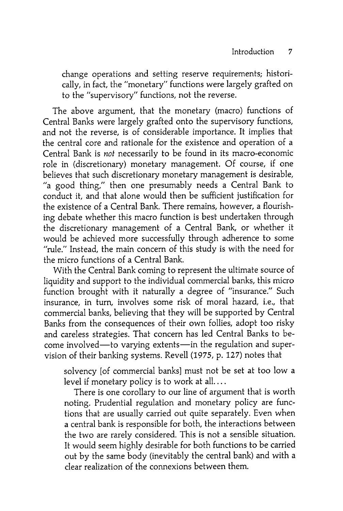change operations and setting reserve requirements; historically, in fact, the "monetary" functions were largely grafted on to the "supervisory" functions, not the reverse.

The above argument, that the monetary (macro) functions of Central Banks were largely grafted onto the supervisory functions, and not the reverse, is of considerable importance . It implies that the central core and rationale for the existence and operation of a Central Bank is not necessarily to be found in its macro-economic role in (discretionary) monetary management. Of course, if one believes that such discretionary monetary management is desirable, "a good thing," then one presumably needs a Central Bank to conduct it, and that alone would then be sufficient justification for the existence of a Central Bank. There remains, however, a flourishing debate whether this macro function is best undertaken through the discretionary management of a Central Bank, or whether it would be achieved more successfully through adherence to some "rule." Instead, the main concern of this study is with the need for the micro functions of a Central Bank.

With the Central Bank coming to represent the ultimate source of liquidity and support to the individual commercial banks, this micro function brought with it naturally a degree of "insurance." Such insurance, in turn, involves some risk of moral hazard, i.e., that commercial banks, believing that they will be supported by Central Banks from the consequences of their own follies, adopt too risky and careless strategies. That concern has led Central Banks to become involved—to varying extents—in the regulation and supervision of their banking systems. Revell (1975, p. 127) notes that

solvency [of commercial banks] must not be set at too Iowa level if monetary policy is to work at all. . . .

There is one corollary to our line of argument that is worth noting. Prudential regulation and monetary policy are functions that are usually carried out quite separately. Even when a central bank is responsible for both, the interactions between the two are rarely considered. This is not a sensible situation. It would seem highly desirable for both functions to be carried out by the same body (inevitably the central bank) and with a clear realization of the connexions between them.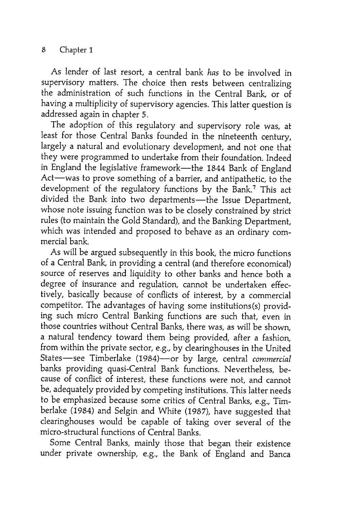## 8 Chapter 1

As lender of last resort, a central bank has to be involved in supervisory matters. The choice then rests between centralizing the administration of such functions in the Central Bank, or of having a multiplicity of supervisory agencies. This latter question is addressed again in chapter 5.

The adoption of this regulatory and supervisory role was, at least for those Central Banks founded in the nineteenth century, largely a natural and evolutionary development, and not one that they were programmed to undertake from their foundation. Indeed in England the legislative framework-the 1844 Bank of England Act- was to prove something of a barrier, and antipathetic, to the development of the regulatory functions by the Bank.<sup>7</sup> This act divided the Bank into two departments- the Issue Department, whose note issuing function was to be closely constrained by strict rules (to maintain the Gold Standard), and the Banking Department, which was intended and proposed to behave as an ordinary com-<br>mercial bank.

As will be argued subsequently in this book, the micro functions of a Central Bank, in providing a central (and therefore economical) source of reserves and liquidity to other banks and hence both a degree of insurance and regulation, cannot be undertaken effectively, basically because of conflicts of interest, by a commercial competitor. The advantages of having some institutions(s) providing such micro Central Banking functions are such that, even in those countries without Central Banks, there was, as will be shown. a natural tendency toward them being provided, after a fashion, from within the private sector, e.g., by clearinghouses in the United States-see Timberlake (1984)- or by large, central *commercial*<br>banks providing quasi-Central Bank functions. Nevertheless, because of conflict of interest, these functions were not, and cannot be, adequately provided by competing institutions. This latter needs to be emphasized because some critics of Central Banks, e.g., Timberlake (1984) and Selgin and White (1987), have suggested that clearinghouses would be capable of taking over several of the micro -structural functions of Central Banks .

Some Central Banks, mainly those that began their existence under private ownership, e.g., the Bank of England and Banca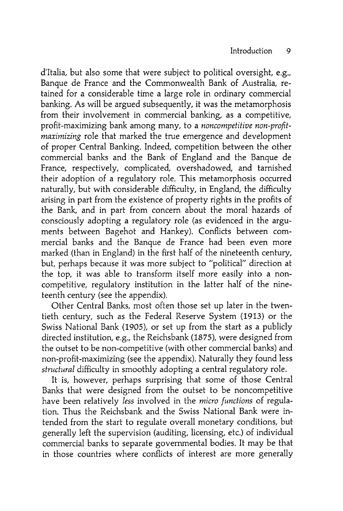d'Italia, but also some that were subject to political oversight, e.g., Banque de France and the Commonwealth Bank of Australia, retained for a considerable time a large role in ordinary commercial banking. As will be argued subsequently, it was the metamorphosis from their involvement in commercial banking, as a competitive, profit-maximizing bank among many, to a *noncompetitive non-profit*maximizing role that marked the true emergence and development of proper Central Banking. Indeed, competition between the other commercial banks and the Bank of England and the Banque de France, respectively, complicated, overshadowed, and tarnished their adoption of a regulatory role. This metamorphosis occurred naturally, but with considerable difficulty, in England, the difficulty arising in part from the existence of property rights in the profits of the Bank, and in part from concern about the moral hazards of consciously adopting a regulatory role (as evidenced in the arguments between Bagehot and Hankey). Conflicts between commercial banks and the Banque de France had been even more marked (than in England) in the first half of the nineteenth century, but, perhaps because it was more subject to "political" direction at the top, it was able to transform itself more easily into a noncompetitive, regulatory institution in the latter half of the nineteenth century (see the appendix).

Other Central Banks, most often those set up later in the twentieth century, such as the Federal Reserve System (1913) or the Swiss National Bank (1905), or set up from the start as a publicly directed institution, e.g., the Reichsbank (1875), were designed from the outset to be non-competitive (with other commercial banks) and non-profit-maximizing (see the appendix). Naturally they found less structural difficulty in smoothly adopting a central regulatory role.

It is, however, perhaps surprising that some of those Central Banks that were designed from the outset to be noncompetitive have been relatively less involved in the micro functions of regulation. Thus the Reichsbank and the Swiss National Bank were intended from the start to regulate overall monetary conditions, but generally left the supervision (auditing, licensing, etc.) of individual commercial banks to separate governmental bodies. It may be that in those countries where conflicts of interest are more generally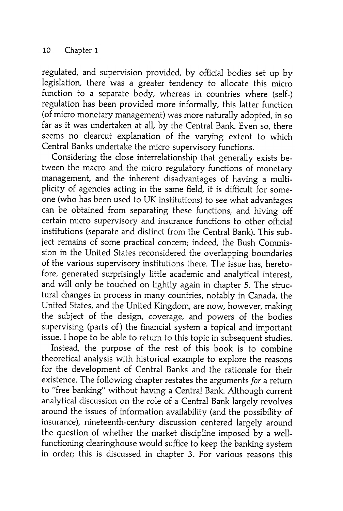regulated, and supervision provided, by official bodies set up by legislation, there was a greater tendency to allocate this micro function to a separate body, whereas in countries where (self-) regulation has been provided more informally, this latter function (of micro monetary management) was more naturally adopted, in so far as it was undertaken at all, by the Central Bank. Even so, there seems no clearcut explanation of the varying extent to which Central Banks undertake the micro supervisory functions.<br>Considering the close interrelationship that generally exists be-

tween the macro and the micro regulatory functions of monetary management, and the inherent disadvantages of having a multiplicity of agencies acting in the same field, it is difficult for someone (who has been used to UK institutions) to see what advantages can be obtained from separating these functions, and hiving off certain micro supervisory and insurance functions to other official institutions (separate and distinct from the Central Bank). This subject remains of some practical concern; indeed, the Bush Commission in the United States reconsidered the overlapping boundaries of the various supervisory institutions there. The issue has, hereto-, generated surprisingly little academic and analytical interest, and will only be touched on lightly again in chapter 5. The structural changes in process in many countries, notably in Canada, the United States, and the United Kingdom, are now, however, making the subject of the design, coverage, and powers of the bodies supervising (parts of) the financial system a topical and important issue. I hope to be able to return to this topic in subsequent studies.

Instead, the purpose of the rest of this book is to combine theoretical analysis with historical example to explore the reasons for the development of Central Banks and the rationale for their existence. The following chapter restates the arguments for a return to "free banking" without having a Central Bank. Although current analytical discussion on the role of a Central Bank largely revolves around the issues of information availability (and the possibility of insurance), nineteenth -century discussion centered largely around the question of whether the market discipline imposed by a wellfunctioning clearinghouse would suffice to keep the banking system in order; this is discussed in chapter 3. For various reasons this